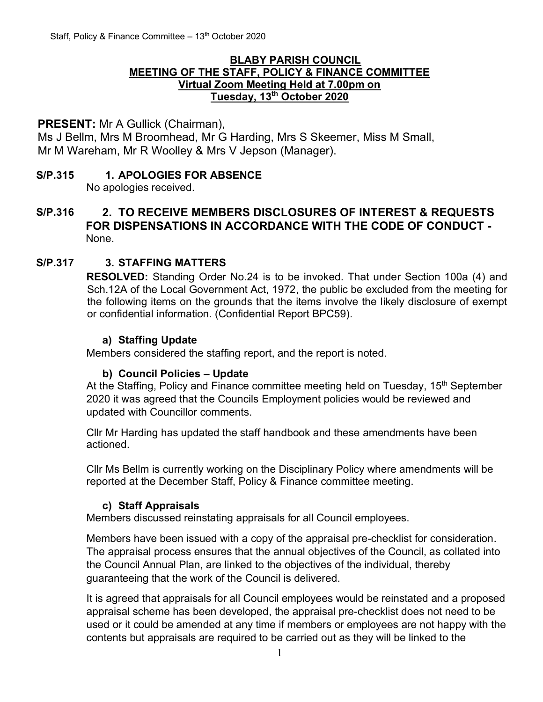#### **BLABY PARISH COUNCIL MEETING OF THE STAFF, POLICY & FINANCE COMMITTEE Virtual Zoom Meeting Held at 7.00pm on Tuesday, 13 th October 2020**

### **PRESENT:** Mr A Gullick (Chairman),

Ms J Bellm, Mrs M Broomhead, Mr G Harding, Mrs S Skeemer, Miss M Small, Mr M Wareham, Mr R Woolley & Mrs V Jepson (Manager).

# **S/P.315 1. APOLOGIES FOR ABSENCE**

No apologies received.

## **S/P.316 2. TO RECEIVE MEMBERS DISCLOSURES OF INTEREST & REQUESTS FOR DISPENSATIONS IN ACCORDANCE WITH THE CODE OF CONDUCT -** None.

## **S/P.317 3. STAFFING MATTERS**

**RESOLVED:** Standing Order No.24 is to be invoked. That under Section 100a (4) and Sch.12A of the Local Government Act, 1972, the public be excluded from the meeting for the following items on the grounds that the items involve the likely disclosure of exempt or confidential information. (Confidential Report BPC59).

#### **a) Staffing Update**

Members considered the staffing report, and the report is noted.

#### **b) Council Policies – Update**

At the Staffing, Policy and Finance committee meeting held on Tuesday, 15<sup>th</sup> September 2020 it was agreed that the Councils Employment policies would be reviewed and updated with Councillor comments.

Cllr Mr Harding has updated the staff handbook and these amendments have been actioned.

Cllr Ms Bellm is currently working on the Disciplinary Policy where amendments will be reported at the December Staff, Policy & Finance committee meeting.

#### **c) Staff Appraisals**

Members discussed reinstating appraisals for all Council employees.

Members have been issued with a copy of the appraisal pre-checklist for consideration. The appraisal process ensures that the annual objectives of the Council, as collated into the Council Annual Plan, are linked to the objectives of the individual, thereby guaranteeing that the work of the Council is delivered.

It is agreed that appraisals for all Council employees would be reinstated and a proposed appraisal scheme has been developed, the appraisal pre-checklist does not need to be used or it could be amended at any time if members or employees are not happy with the contents but appraisals are required to be carried out as they will be linked to the